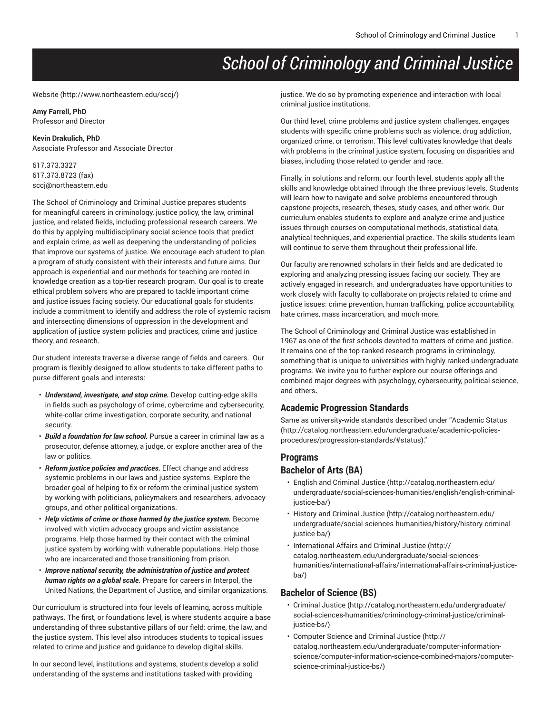# *School of Criminology and Criminal Justice*

#### [Website](http://www.northeastern.edu/sccj/) ([http://www.northeastern.edu/sccj/\)](http://www.northeastern.edu/sccj/)

## **Amy Farrell, PhD**

Professor and Director

## **Kevin Drakulich, PhD**

Associate Professor and Associate Director

617.373.3327 617.373.8723 (fax) [sccj@northeastern.edu](mailto:sccj@northeastern.edu)

The School of Criminology and Criminal Justice prepares students for meaningful careers in criminology, justice policy, the law, criminal justice, and related fields, including professional research careers. We do this by applying multidisciplinary social science tools that predict and explain crime, as well as deepening the understanding of policies that improve our systems of justice. We encourage each student to plan a program of study consistent with their interests and future aims. Our approach is experiential and our methods for teaching are rooted in knowledge creation as a top-tier research program. Our goal is to create ethical problem solvers who are prepared to tackle important crime and justice issues facing society. Our educational goals for students include a commitment to identify and address the role of systemic racism and intersecting dimensions of oppression in the development and application of justice system policies and practices, crime and justice theory, and research.

Our student interests traverse a diverse range of fields and careers. Our program is flexibly designed to allow students to take different paths to purse different goals and interests:

- *Understand, investigate, and stop crime.* Develop cutting-edge skills in fields such as psychology of crime, cybercrime and cybersecurity, white-collar crime investigation, corporate security, and national security.
- *Build a foundation for law school.* Pursue a career in criminal law as a prosecutor, defense attorney, a judge, or explore another area of the law or politics.
- *Reform justice policies and practices.* Effect change and address systemic problems in our laws and justice systems. Explore the broader goal of helping to fix or reform the criminal justice system by working with politicians, policymakers and researchers, advocacy groups, and other political organizations.
- *Help victims of crime or those harmed by the justice system.* Become involved with victim advocacy groups and victim assistance programs. Help those harmed by their contact with the criminal justice system by working with vulnerable populations. Help those who are incarcerated and those transitioning from prison.
- *Improve national security, the administration of justice and protect human rights on a global scale.* Prepare for careers in Interpol, the United Nations, the Department of Justice, and similar organizations.

Our curriculum is structured into four levels of learning, across multiple pathways. The first, or foundations level, is where students acquire a base understanding of three substantive pillars of our field: crime, the law, and the justice system. This level also introduces students to topical issues related to crime and justice and guidance to develop digital skills.

In our second level, institutions and systems, students develop a solid understanding of the systems and institutions tasked with providing

justice. We do so by promoting experience and interaction with local criminal justice institutions.

Our third level, crime problems and justice system challenges, engages students with specific crime problems such as violence, drug addiction, organized crime, or terrorism. This level cultivates knowledge that deals with problems in the criminal justice system, focusing on disparities and biases, including those related to gender and race.

Finally, in solutions and reform, our fourth level, students apply all the skills and knowledge obtained through the three previous levels. Students will learn how to navigate and solve problems encountered through capstone projects, research, theses, study cases, and other work. Our curriculum enables students to explore and analyze crime and justice issues through courses on computational methods, statistical data, analytical techniques, and experiential practice. The skills students learn will continue to serve them throughout their professional life.

Our faculty are renowned scholars in their fields and are dedicated to exploring and analyzing pressing issues facing our society. They are actively engaged in research. and undergraduates have opportunities to work closely with faculty to collaborate on projects related to crime and justice issues: crime prevention, human trafficking, police accountability, hate crimes, mass incarceration, and much more.

The School of Criminology and Criminal Justice was established in 1967 as one of the first schools devoted to matters of crime and justice. It remains one of the top-ranked research programs in criminology, something that is unique to universities with highly ranked undergraduate programs. We invite you to further explore our course offerings and combined major degrees with psychology, cybersecurity, political science, and others**.**

## **Academic Progression Standards**

Same as university-wide standards described under ["Academic Status](http://catalog.northeastern.edu/undergraduate/academic-policies-procedures/progression-standards/#status) [\(http://catalog.northeastern.edu/undergraduate/academic-policies](http://catalog.northeastern.edu/undergraduate/academic-policies-procedures/progression-standards/#status)[procedures/progression-standards/#status](http://catalog.northeastern.edu/undergraduate/academic-policies-procedures/progression-standards/#status))."

## **Programs Bachelor of Arts (BA)**

- [English and Criminal Justice](http://catalog.northeastern.edu/undergraduate/social-sciences-humanities/english/english-criminal-justice-ba/) [\(http://catalog.northeastern.edu/](http://catalog.northeastern.edu/undergraduate/social-sciences-humanities/english/english-criminal-justice-ba/) [undergraduate/social-sciences-humanities/english/english-criminal](http://catalog.northeastern.edu/undergraduate/social-sciences-humanities/english/english-criminal-justice-ba/)[justice-ba/\)](http://catalog.northeastern.edu/undergraduate/social-sciences-humanities/english/english-criminal-justice-ba/)
- History and [Criminal](http://catalog.northeastern.edu/undergraduate/social-sciences-humanities/history/history-criminal-justice-ba/) Justice ([http://catalog.northeastern.edu/](http://catalog.northeastern.edu/undergraduate/social-sciences-humanities/history/history-criminal-justice-ba/) [undergraduate/social-sciences-humanities/history/history-criminal](http://catalog.northeastern.edu/undergraduate/social-sciences-humanities/history/history-criminal-justice-ba/)[justice-ba/\)](http://catalog.northeastern.edu/undergraduate/social-sciences-humanities/history/history-criminal-justice-ba/)
- [International Affairs and Criminal Justice \(http://](http://catalog.northeastern.edu/undergraduate/social-sciences-humanities/international-affairs/international-affairs-criminal-justice-ba/) [catalog.northeastern.edu/undergraduate/social-sciences](http://catalog.northeastern.edu/undergraduate/social-sciences-humanities/international-affairs/international-affairs-criminal-justice-ba/)[humanities/international-affairs/international-affairs-criminal-justice](http://catalog.northeastern.edu/undergraduate/social-sciences-humanities/international-affairs/international-affairs-criminal-justice-ba/)[ba/\)](http://catalog.northeastern.edu/undergraduate/social-sciences-humanities/international-affairs/international-affairs-criminal-justice-ba/)

## **Bachelor of Science (BS)**

- [Criminal Justice](http://catalog.northeastern.edu/undergraduate/social-sciences-humanities/criminology-criminal-justice/criminal-justice-bs/) [\(http://catalog.northeastern.edu/undergraduate/](http://catalog.northeastern.edu/undergraduate/social-sciences-humanities/criminology-criminal-justice/criminal-justice-bs/) [social-sciences-humanities/criminology-criminal-justice/criminal](http://catalog.northeastern.edu/undergraduate/social-sciences-humanities/criminology-criminal-justice/criminal-justice-bs/)[justice-bs/\)](http://catalog.northeastern.edu/undergraduate/social-sciences-humanities/criminology-criminal-justice/criminal-justice-bs/)
- [Computer Science and Criminal Justice \(http://](http://catalog.northeastern.edu/undergraduate/computer-information-science/computer-information-science-combined-majors/computer-science-criminal-justice-bs/) [catalog.northeastern.edu/undergraduate/computer-information](http://catalog.northeastern.edu/undergraduate/computer-information-science/computer-information-science-combined-majors/computer-science-criminal-justice-bs/)[science/computer-information-science-combined-majors/computer](http://catalog.northeastern.edu/undergraduate/computer-information-science/computer-information-science-combined-majors/computer-science-criminal-justice-bs/)[science-criminal-justice-bs/\)](http://catalog.northeastern.edu/undergraduate/computer-information-science/computer-information-science-combined-majors/computer-science-criminal-justice-bs/)